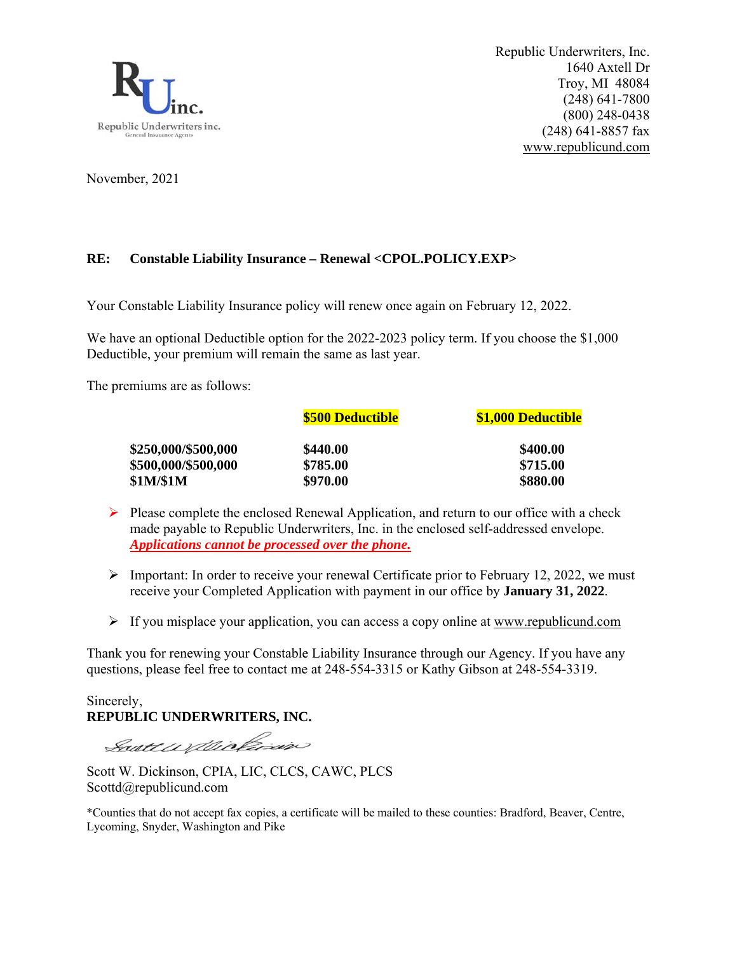

Republic Underwriters, Inc. 1640 Axtell Dr Troy, MI 48084 (248) 641-7800 (800) 248-0438 (248) 641-8857 fax www.republicund.com

November, 2021

## **RE: Constable Liability Insurance – Renewal <CPOL.POLICY.EXP>**

Your Constable Liability Insurance policy will renew once again on February 12, 2022.

We have an optional Deductible option for the 2022-2023 policy term. If you choose the \$1,000 Deductible, your premium will remain the same as last year.

The premiums are as follows:

|                     | <b>\$500 Deductible</b> | \$1,000 Deductible |  |  |
|---------------------|-------------------------|--------------------|--|--|
| \$250,000/\$500,000 | \$440.00                | \$400.00           |  |  |
| \$500,000/\$500,000 | \$785.00                | \$715.00           |  |  |
| \$1M/\$1M           | \$970.00                | \$880.00           |  |  |

- $\triangleright$  Please complete the enclosed Renewal Application, and return to our office with a check made payable to Republic Underwriters, Inc. in the enclosed self-addressed envelope. *Applications cannot be processed over the phone.*
- $\triangleright$  Important: In order to receive your renewal Certificate prior to February 12, 2022, we must receive your Completed Application with payment in our office by **January 31, 2022**.
- $\triangleright$  If you misplace your application, you can access a copy online at www.republicund.com

Thank you for renewing your Constable Liability Insurance through our Agency. If you have any questions, please feel free to contact me at 248-554-3315 or Kathy Gibson at 248-554-3319.

Sincerely, **REPUBLIC UNDERWRITERS, INC.** 

Soutt willichin

Scott W. Dickinson, CPIA, LIC, CLCS, CAWC, PLCS Scottd@republicund.com

\*Counties that do not accept fax copies, a certificate will be mailed to these counties: Bradford, Beaver, Centre, Lycoming, Snyder, Washington and Pike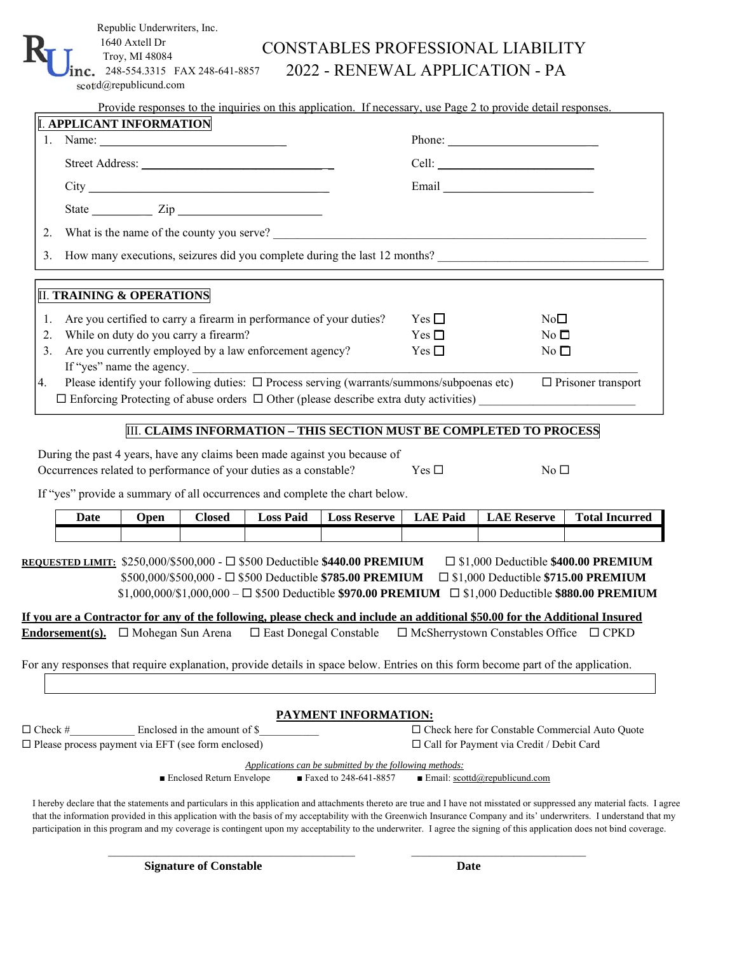|                                                                                                                                                                                                                                                                                                                                                                                                                         | Troy, MI 48084<br>248-554.3315 FAX 248-641-8857<br>scottd@republicund.com |                              |                                                                                                                                                                                                                                                                                                                                                                    |                                                                                                                                             |                                  | 2022 - RENEWAL APPLICATION - PA                                                                                                    |                                                                                                            |  |
|-------------------------------------------------------------------------------------------------------------------------------------------------------------------------------------------------------------------------------------------------------------------------------------------------------------------------------------------------------------------------------------------------------------------------|---------------------------------------------------------------------------|------------------------------|--------------------------------------------------------------------------------------------------------------------------------------------------------------------------------------------------------------------------------------------------------------------------------------------------------------------------------------------------------------------|---------------------------------------------------------------------------------------------------------------------------------------------|----------------------------------|------------------------------------------------------------------------------------------------------------------------------------|------------------------------------------------------------------------------------------------------------|--|
|                                                                                                                                                                                                                                                                                                                                                                                                                         |                                                                           |                              |                                                                                                                                                                                                                                                                                                                                                                    |                                                                                                                                             |                                  | Provide responses to the inquiries on this application. If necessary, use Page 2 to provide detail responses.                      |                                                                                                            |  |
|                                                                                                                                                                                                                                                                                                                                                                                                                         | <b>I. APPLICANT INFORMATION</b>                                           |                              |                                                                                                                                                                                                                                                                                                                                                                    |                                                                                                                                             |                                  |                                                                                                                                    |                                                                                                            |  |
| 1. Name: $\frac{1}{\sqrt{1-\frac{1}{2}}}\frac{1}{\sqrt{1-\frac{1}{2}}}\frac{1}{\sqrt{1-\frac{1}{2}}}\frac{1}{\sqrt{1-\frac{1}{2}}}\frac{1}{\sqrt{1-\frac{1}{2}}}\frac{1}{\sqrt{1-\frac{1}{2}}}\frac{1}{\sqrt{1-\frac{1}{2}}}\frac{1}{\sqrt{1-\frac{1}{2}}}\frac{1}{\sqrt{1-\frac{1}{2}}}\frac{1}{\sqrt{1-\frac{1}{2}}}\frac{1}{\sqrt{1-\frac{1}{2}}}\frac{1}{\sqrt{1-\frac{1}{2}}}\frac{1}{\sqrt{1-\frac{1}{2}}}\frac{$ |                                                                           |                              |                                                                                                                                                                                                                                                                                                                                                                    |                                                                                                                                             |                                  | Phone:                                                                                                                             |                                                                                                            |  |
| Street Address:                                                                                                                                                                                                                                                                                                                                                                                                         |                                                                           |                              |                                                                                                                                                                                                                                                                                                                                                                    |                                                                                                                                             |                                  |                                                                                                                                    |                                                                                                            |  |
|                                                                                                                                                                                                                                                                                                                                                                                                                         |                                                                           |                              |                                                                                                                                                                                                                                                                                                                                                                    |                                                                                                                                             |                                  |                                                                                                                                    |                                                                                                            |  |
|                                                                                                                                                                                                                                                                                                                                                                                                                         |                                                                           |                              | State $\frac{1}{\sqrt{2}}$ $\frac{1}{\sqrt{2}}$ $\frac{1}{\sqrt{2}}$ $\frac{1}{\sqrt{2}}$ $\frac{1}{\sqrt{2}}$ $\frac{1}{\sqrt{2}}$ $\frac{1}{\sqrt{2}}$ $\frac{1}{\sqrt{2}}$ $\frac{1}{\sqrt{2}}$ $\frac{1}{\sqrt{2}}$ $\frac{1}{\sqrt{2}}$ $\frac{1}{\sqrt{2}}$ $\frac{1}{\sqrt{2}}$ $\frac{1}{\sqrt{2}}$ $\frac{1}{\sqrt{2}}$ $\frac{1}{\sqrt{2}}$ $\frac{1}{\$ |                                                                                                                                             |                                  |                                                                                                                                    |                                                                                                            |  |
| 2.                                                                                                                                                                                                                                                                                                                                                                                                                      |                                                                           |                              |                                                                                                                                                                                                                                                                                                                                                                    |                                                                                                                                             |                                  | What is the name of the county you serve?                                                                                          |                                                                                                            |  |
| 3.                                                                                                                                                                                                                                                                                                                                                                                                                      |                                                                           |                              |                                                                                                                                                                                                                                                                                                                                                                    |                                                                                                                                             |                                  |                                                                                                                                    | How many executions, seizures did you complete during the last 12 months?                                  |  |
|                                                                                                                                                                                                                                                                                                                                                                                                                         |                                                                           |                              |                                                                                                                                                                                                                                                                                                                                                                    |                                                                                                                                             |                                  |                                                                                                                                    |                                                                                                            |  |
|                                                                                                                                                                                                                                                                                                                                                                                                                         | <b>II. TRAINING &amp; OPERATIONS</b>                                      |                              |                                                                                                                                                                                                                                                                                                                                                                    |                                                                                                                                             |                                  |                                                                                                                                    |                                                                                                            |  |
| Are you certified to carry a firearm in performance of your duties?<br>1.<br>While on duty do you carry a firearm?                                                                                                                                                                                                                                                                                                      |                                                                           |                              |                                                                                                                                                                                                                                                                                                                                                                    |                                                                                                                                             | Yes $\square$<br>No <sub>1</sub> |                                                                                                                                    |                                                                                                            |  |
| 2.<br>3.                                                                                                                                                                                                                                                                                                                                                                                                                |                                                                           |                              | Are you currently employed by a law enforcement agency?                                                                                                                                                                                                                                                                                                            |                                                                                                                                             | Yes $\square$<br>Yes $\Box$      |                                                                                                                                    | $No \square$<br>No <sub>l</sub>                                                                            |  |
|                                                                                                                                                                                                                                                                                                                                                                                                                         |                                                                           |                              |                                                                                                                                                                                                                                                                                                                                                                    | If "yes" name the agency.                                                                                                                   |                                  |                                                                                                                                    |                                                                                                            |  |
| 4.                                                                                                                                                                                                                                                                                                                                                                                                                      |                                                                           |                              |                                                                                                                                                                                                                                                                                                                                                                    | Please identify your following duties: $\Box$ Process serving (warrants/summons/subpoenas etc)                                              |                                  |                                                                                                                                    | $\Box$ Prisoner transport                                                                                  |  |
|                                                                                                                                                                                                                                                                                                                                                                                                                         |                                                                           |                              |                                                                                                                                                                                                                                                                                                                                                                    |                                                                                                                                             |                                  | $\Box$ Enforcing Protecting of abuse orders $\Box$ Other (please describe extra duty activities)                                   |                                                                                                            |  |
|                                                                                                                                                                                                                                                                                                                                                                                                                         |                                                                           |                              |                                                                                                                                                                                                                                                                                                                                                                    |                                                                                                                                             |                                  |                                                                                                                                    |                                                                                                            |  |
|                                                                                                                                                                                                                                                                                                                                                                                                                         |                                                                           |                              |                                                                                                                                                                                                                                                                                                                                                                    |                                                                                                                                             |                                  |                                                                                                                                    |                                                                                                            |  |
|                                                                                                                                                                                                                                                                                                                                                                                                                         |                                                                           |                              |                                                                                                                                                                                                                                                                                                                                                                    |                                                                                                                                             |                                  | III. CLAIMS INFORMATION - THIS SECTION MUST BE COMPLETED TO PROCESS                                                                |                                                                                                            |  |
|                                                                                                                                                                                                                                                                                                                                                                                                                         |                                                                           |                              | Occurrences related to performance of your duties as a constable?                                                                                                                                                                                                                                                                                                  | During the past 4 years, have any claims been made against you because of                                                                   | Yes $\Box$                       | No <sub>D</sub>                                                                                                                    |                                                                                                            |  |
|                                                                                                                                                                                                                                                                                                                                                                                                                         |                                                                           |                              |                                                                                                                                                                                                                                                                                                                                                                    | If "yes" provide a summary of all occurrences and complete the chart below.                                                                 |                                  |                                                                                                                                    |                                                                                                            |  |
| Date                                                                                                                                                                                                                                                                                                                                                                                                                    | <b>Open</b>                                                               | <b>Closed</b>                | <b>Loss Paid</b>                                                                                                                                                                                                                                                                                                                                                   | <b>Loss Reserve</b>                                                                                                                         | <b>LAE Paid</b>                  | <b>LAE Reserve</b>                                                                                                                 | <b>Total Incurred</b>                                                                                      |  |
|                                                                                                                                                                                                                                                                                                                                                                                                                         |                                                                           |                              |                                                                                                                                                                                                                                                                                                                                                                    |                                                                                                                                             |                                  |                                                                                                                                    |                                                                                                            |  |
|                                                                                                                                                                                                                                                                                                                                                                                                                         |                                                                           |                              |                                                                                                                                                                                                                                                                                                                                                                    |                                                                                                                                             |                                  |                                                                                                                                    |                                                                                                            |  |
|                                                                                                                                                                                                                                                                                                                                                                                                                         |                                                                           |                              |                                                                                                                                                                                                                                                                                                                                                                    | REQUESTED LIMIT: $$250,000/$500,000 - \square $500 Deductible $440.00 PREMIUM$<br>\$500,000/\$500,000 - □ \$500 Deductible \$785.00 PREMIUM |                                  | $\square$ \$1,000 Deductible \$715.00 PREMIUM                                                                                      |                                                                                                            |  |
|                                                                                                                                                                                                                                                                                                                                                                                                                         |                                                                           |                              |                                                                                                                                                                                                                                                                                                                                                                    |                                                                                                                                             |                                  |                                                                                                                                    | $\square$ \$1,000 Deductible \$400.00 PREMIUM                                                              |  |
|                                                                                                                                                                                                                                                                                                                                                                                                                         |                                                                           |                              |                                                                                                                                                                                                                                                                                                                                                                    |                                                                                                                                             |                                  | <u>If you are a Contractor for any of the following, please check and include an additional \$50.00 for the Additional Insured</u> | $$1,000,000/\$1,000,000 - \Box $500$ Deductible \$970.00 PREMIUM $\Box $1,000$ Deductible \$880.00 PREMIUM |  |
| Endorsement(s).                                                                                                                                                                                                                                                                                                                                                                                                         | $\Box$ Mohegan Sun Arena                                                  |                              | $\square$ East Donegal Constable                                                                                                                                                                                                                                                                                                                                   |                                                                                                                                             |                                  | $\Box$ McSherrystown Constables Office $\Box$ CPKD                                                                                 |                                                                                                            |  |
|                                                                                                                                                                                                                                                                                                                                                                                                                         |                                                                           |                              |                                                                                                                                                                                                                                                                                                                                                                    |                                                                                                                                             |                                  |                                                                                                                                    |                                                                                                            |  |
|                                                                                                                                                                                                                                                                                                                                                                                                                         |                                                                           |                              |                                                                                                                                                                                                                                                                                                                                                                    |                                                                                                                                             |                                  | For any responses that require explanation, provide details in space below. Entries on this form become part of the application.   |                                                                                                            |  |
|                                                                                                                                                                                                                                                                                                                                                                                                                         |                                                                           |                              |                                                                                                                                                                                                                                                                                                                                                                    |                                                                                                                                             |                                  |                                                                                                                                    |                                                                                                            |  |
|                                                                                                                                                                                                                                                                                                                                                                                                                         |                                                                           |                              |                                                                                                                                                                                                                                                                                                                                                                    | <b>PAYMENT INFORMATION:</b>                                                                                                                 |                                  |                                                                                                                                    |                                                                                                            |  |
| $\Box$ Check #                                                                                                                                                                                                                                                                                                                                                                                                          |                                                                           | Enclosed in the amount of \$ |                                                                                                                                                                                                                                                                                                                                                                    |                                                                                                                                             |                                  | $\Box$ Check here for Constable Commercial Auto Quote                                                                              |                                                                                                            |  |
|                                                                                                                                                                                                                                                                                                                                                                                                                         | $\square$ Please process payment via EFT (see form enclosed)              |                              |                                                                                                                                                                                                                                                                                                                                                                    | Applications can be submitted by the following methods:                                                                                     |                                  | □ Call for Payment via Credit / Debit Card                                                                                         |                                                                                                            |  |

**Signature of Constable Date**